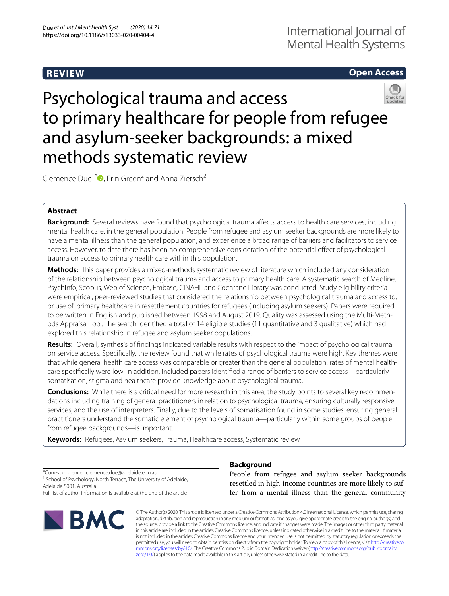# **REVIEW**

# **Open Access**



Psychological trauma and access to primary healthcare for people from refugee and asylum-seeker backgrounds: a mixed methods systematic review

Clemence Due<sup>1[\\*](http://orcid.org/0000-0001-6485-6076)</sup><sup> $\bullet$ </sup>, Erin Green<sup>2</sup> and Anna Ziersch<sup>2</sup>

## **Abstract**

**Background:** Several reviews have found that psychological trauma afects access to health care services, including mental health care, in the general population. People from refugee and asylum seeker backgrounds are more likely to have a mental illness than the general population, and experience a broad range of barriers and facilitators to service access. However, to date there has been no comprehensive consideration of the potential efect of psychological trauma on access to primary health care within this population.

**Methods:** This paper provides a mixed-methods systematic review of literature which included any consideration of the relationship between psychological trauma and access to primary health care. A systematic search of Medline, PsychInfo, Scopus, Web of Science, Embase, CINAHL and Cochrane Library was conducted. Study eligibility criteria were empirical, peer-reviewed studies that considered the relationship between psychological trauma and access to, or use of, primary healthcare in resettlement countries for refugees (including asylum seekers). Papers were required to be written in English and published between 1998 and August 2019. Quality was assessed using the Multi-Methods Appraisal Tool. The search identifed a total of 14 eligible studies (11 quantitative and 3 qualitative) which had explored this relationship in refugee and asylum seeker populations.

**Results:** Overall, synthesis of fndings indicated variable results with respect to the impact of psychological trauma on service access. Specifcally, the review found that while rates of psychological trauma were high. Key themes were that while general health care access was comparable or greater than the general population, rates of mental healthcare specifcally were low. In addition, included papers identifed a range of barriers to service access—particularly somatisation, stigma and healthcare provide knowledge about psychological trauma.

**Conclusions:** While there is a critical need for more research in this area, the study points to several key recommendations including training of general practitioners in relation to psychological trauma, ensuring culturally responsive services, and the use of interpreters. Finally, due to the levels of somatisation found in some studies, ensuring general practitioners understand the somatic element of psychological trauma—particularly within some groups of people from refugee backgrounds—is important.

**Keywords:** Refugees, Asylum seekers, Trauma, Healthcare access, Systematic review

\*Correspondence: clemence.due@adelaide.edu.au

<sup>1</sup> School of Psychology, North Terrace, The University of Adelaide, Adelaide 5001, Australia

Full list of author information is available at the end of the article



## **Background**

People from refugee and asylum seeker backgrounds resettled in high-income countries are more likely to suffer from a mental illness than the general community

© The Author(s) 2020. This article is licensed under a Creative Commons Attribution 4.0 International License, which permits use, sharing, adaptation, distribution and reproduction in any medium or format, as long as you give appropriate credit to the original author(s) and the source, provide a link to the Creative Commons licence, and indicate if changes were made. The images or other third party material in this article are included in the article's Creative Commons licence, unless indicated otherwise in a credit line to the material. If material is not included in the article's Creative Commons licence and your intended use is not permitted by statutory regulation or exceeds the permitted use, you will need to obtain permission directly from the copyright holder. To view a copy of this licence, visit [http://creativeco](http://creativecommons.org/licenses/by/4.0/) [mmons.org/licenses/by/4.0/.](http://creativecommons.org/licenses/by/4.0/) The Creative Commons Public Domain Dedication waiver ([http://creativecommons.org/publicdomain/](http://creativecommons.org/publicdomain/zero/1.0/) [zero/1.0/\)](http://creativecommons.org/publicdomain/zero/1.0/) applies to the data made available in this article, unless otherwise stated in a credit line to the data.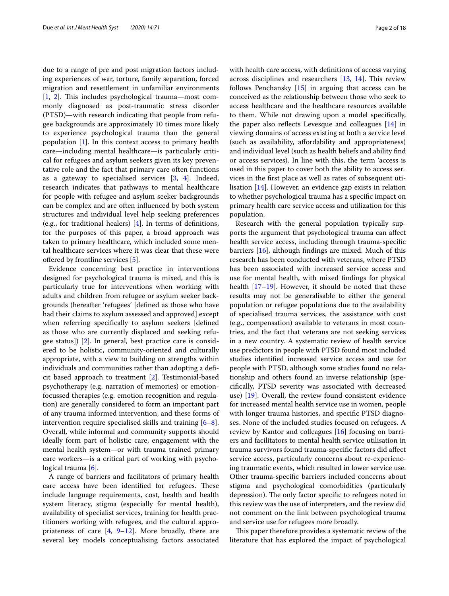due to a range of pre and post migration factors including experiences of war, torture, family separation, forced migration and resettlement in unfamiliar environments  $[1, 2]$  $[1, 2]$  $[1, 2]$  $[1, 2]$  $[1, 2]$ . This includes psychological trauma—most commonly diagnosed as post-traumatic stress disorder (PTSD)—with research indicating that people from refugee backgrounds are approximately 10 times more likely to experience psychological trauma than the general population [\[1](#page-16-0)]. In this context access to primary health care—including mental healthcare—is particularly critical for refugees and asylum seekers given its key preventative role and the fact that primary care often functions as a gateway to specialised services  $[3, 4]$  $[3, 4]$  $[3, 4]$ . Indeed, research indicates that pathways to mental healthcare for people with refugee and asylum seeker backgrounds can be complex and are often infuenced by both system structures and individual level help seeking preferences (e.g., for traditional healers) [[4\]](#page-16-3). In terms of defnitions, for the purposes of this paper, a broad approach was taken to primary healthcare, which included some mental healthcare services where it was clear that these were ofered by frontline services [\[5](#page-16-4)].

Evidence concerning best practice in interventions designed for psychological trauma is mixed, and this is particularly true for interventions when working with adults and children from refugee or asylum seeker backgrounds (hereafter 'refugees' [defned as those who have had their claims to asylum assessed and approved] except when referring specifcally to asylum seekers [defned as those who are currently displaced and seeking refugee status]) [[2\]](#page-16-1). In general, best practice care is considered to be holistic, community-oriented and culturally appropriate, with a view to building on strengths within individuals and communities rather than adopting a deficit based approach to treatment [[2\]](#page-16-1). Testimonial-based psychotherapy (e.g. narration of memories) or emotionfocussed therapies (e.g. emotion recognition and regulation) are generally considered to form an important part of any trauma informed intervention, and these forms of intervention require specialised skills and training [\[6](#page-16-5)[–8](#page-16-6)]. Overall, while informal and community supports should ideally form part of holistic care, engagement with the mental health system—or with trauma trained primary care workers—is a critical part of working with psychological trauma [[6\]](#page-16-5).

A range of barriers and facilitators of primary health care access have been identified for refugees. These include language requirements, cost, health and health system literacy, stigma (especially for mental health), availability of specialist services, training for health practitioners working with refugees, and the cultural appropriateness of care  $[4, 9-12]$  $[4, 9-12]$  $[4, 9-12]$  $[4, 9-12]$ . More broadly, there are several key models conceptualising factors associated with health care access, with defnitions of access varying across disciplines and researchers  $[13, 14]$  $[13, 14]$  $[13, 14]$  $[13, 14]$ . This review follows Penchansky [\[15\]](#page-17-3) in arguing that access can be conceived as the relationship between those who seek to access healthcare and the healthcare resources available to them. While not drawing upon a model specifcally, the paper also refects Levesque and colleagues [\[14](#page-17-2)] in viewing domains of access existing at both a service level (such as availability, afordability and appropriateness) and individual level (such as health beliefs and ability fnd or access services). In line with this, the term 'access is used in this paper to cover both the ability to access services in the frst place as well as rates of subsequent utilisation [[14\]](#page-17-2). However, an evidence gap exists in relation to whether psychological trauma has a specifc impact on primary health care service access and utilization for this population.

Research with the general population typically supports the argument that psychological trauma can afect health service access, including through trauma-specifc barriers [\[16](#page-17-4)], although fndings are mixed. Much of this research has been conducted with veterans, where PTSD has been associated with increased service access and use for mental health, with mixed fndings for physical health [\[17](#page-17-5)[–19\]](#page-17-6). However, it should be noted that these results may not be generalisable to either the general population or refugee populations due to the availability of specialised trauma services, the assistance with cost (e.g., compensation) available to veterans in most countries, and the fact that veterans are not seeking services in a new country. A systematic review of health service use predictors in people with PTSD found most included studies identifed increased service access and use for people with PTSD, although some studies found no relationship and others found an inverse relationship (specifcally, PTSD severity was associated with decreased use) [\[19](#page-17-6)]. Overall, the review found consistent evidence for increased mental health service use in women, people with longer trauma histories, and specifc PTSD diagnoses. None of the included studies focused on refugees. A review by Kantor and colleagues [[16\]](#page-17-4) focusing on barriers and facilitators to mental health service utilisation in trauma survivors found trauma-specifc factors did afect service access, particularly concerns about re-experiencing traumatic events, which resulted in lower service use. Other trauma-specifc barriers included concerns about stigma and psychological comorbidities (particularly depression). The only factor specific to refugees noted in this review was the use of interpreters, and the review did not comment on the link between psychological trauma and service use for refugees more broadly.

This paper therefore provides a systematic review of the literature that has explored the impact of psychological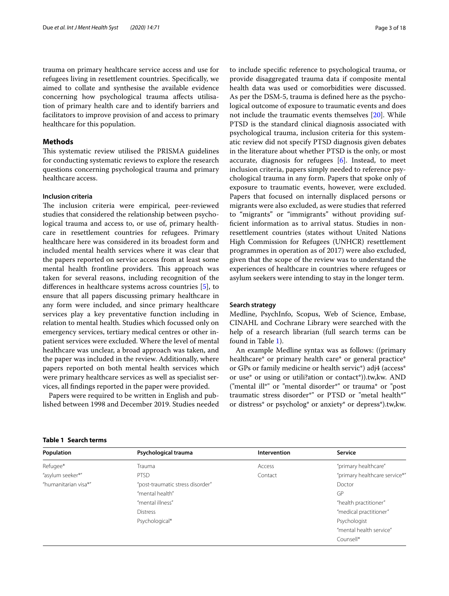trauma on primary healthcare service access and use for refugees living in resettlement countries. Specifcally, we aimed to collate and synthesise the available evidence concerning how psychological trauma afects utilisation of primary health care and to identify barriers and facilitators to improve provision of and access to primary healthcare for this population.

#### **Methods**

This systematic review utilised the PRISMA guidelines for conducting systematic reviews to explore the research questions concerning psychological trauma and primary healthcare access.

### **Inclusion criteria**

The inclusion criteria were empirical, peer-reviewed studies that considered the relationship between psychological trauma and access to, or use of, primary healthcare in resettlement countries for refugees. Primary healthcare here was considered in its broadest form and included mental health services where it was clear that the papers reported on service access from at least some mental health frontline providers. This approach was taken for several reasons, including recognition of the diferences in healthcare systems across countries [[5\]](#page-16-4), to ensure that all papers discussing primary healthcare in any form were included, and since primary healthcare services play a key preventative function including in relation to mental health. Studies which focussed only on emergency services, tertiary medical centres or other inpatient services were excluded. Where the level of mental healthcare was unclear, a broad approach was taken, and the paper was included in the review. Additionally, where papers reported on both mental health services which were primary healthcare services as well as specialist services, all fndings reported in the paper were provided.

Papers were required to be written in English and published between 1998 and December 2019. Studies needed to include specifc reference to psychological trauma, or provide disaggregated trauma data if composite mental health data was used or comorbidities were discussed. As per the DSM-5, trauma is defned here as the psychological outcome of exposure to traumatic events and does not include the traumatic events themselves [\[20\]](#page-17-7). While PTSD is the standard clinical diagnosis associated with psychological trauma, inclusion criteria for this systematic review did not specify PTSD diagnosis given debates in the literature about whether PTSD is the only, or most accurate, diagnosis for refugees  $[6]$  $[6]$ . Instead, to meet inclusion criteria, papers simply needed to reference psychological trauma in any form. Papers that spoke only of exposure to traumatic events, however, were excluded. Papers that focused on internally displaced persons or migrants were also excluded, as were studies that referred to "migrants" or "immigrants" without providing suffcient information as to arrival status. Studies in nonresettlement countries (states without United Nations High Commission for Refugees (UNHCR) resettlement programmes in operation as of 2017) were also excluded, given that the scope of the review was to understand the experiences of healthcare in countries where refugees or asylum seekers were intending to stay in the longer term.

### **Search strategy**

Medline, PsychInfo, Scopus, Web of Science, Embase, CINAHL and Cochrane Library were searched with the help of a research librarian (full search terms can be found in Table [1\)](#page-2-0).

An example Medline syntax was as follows: ((primary healthcare\* or primary health care\* or general practice\* or GPs or family medicine or health servic\*) adj4 (access\* or use\* or using or utili?ation or contact\*)).tw,kw. AND ("mental ill\*" or "mental disorder\*" or trauma\* or "post traumatic stress disorder\*" or PTSD or "metal health\*" or distress\* or psycholog\* or anxiety\* or depress\*).tw,kw.

| Population           | Psychological trauma             | Intervention | Service                       |
|----------------------|----------------------------------|--------------|-------------------------------|
| Refugee*             | Trauma                           | Access       | "primary healthcare"          |
| "asylum seeker*"     | PTSD                             | Contact      | "primary healthcare service*" |
| "humanitarian visa*" | "post-traumatic stress disorder" |              | Doctor                        |
|                      | "mental health"                  |              | GP                            |
|                      | "mental illness"                 |              | "health practitioner"         |
|                      | <b>Distress</b>                  |              | "medical practitioner"        |
|                      | Psychological*                   |              | Psychologist                  |
|                      |                                  |              | "mental health service"       |
|                      |                                  |              | Counsell*                     |

#### <span id="page-2-0"></span>**Table 1 Search terms**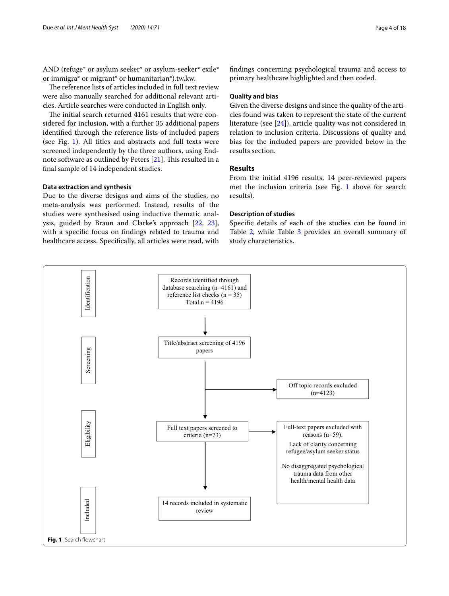AND (refuge\* or asylum seeker\* or asylum-seeker\* exile\* or immigra\* or migrant\* or humanitarian\*).tw,kw.

The reference lists of articles included in full text review were also manually searched for additional relevant articles. Article searches were conducted in English only.

The initial search returned 4161 results that were considered for inclusion, with a further 35 additional papers identifed through the reference lists of included papers (see Fig. [1\)](#page-3-0). All titles and abstracts and full texts were screened independently by the three authors, using Endnote software as outlined by Peters  $[21]$  $[21]$  $[21]$ . This resulted in a fnal sample of 14 independent studies.

#### **Data extraction and synthesis**

Due to the diverse designs and aims of the studies, no meta-analysis was performed. Instead, results of the studies were synthesised using inductive thematic analysis, guided by Braun and Clarke's approach [\[22](#page-17-9), [23](#page-17-10)], with a specifc focus on fndings related to trauma and healthcare access. Specifcally, all articles were read, with fndings concerning psychological trauma and access to primary healthcare highlighted and then coded.

#### **Quality and bias**

Given the diverse designs and since the quality of the articles found was taken to represent the state of the current literature (see [\[24](#page-17-11)]), article quality was not considered in relation to inclusion criteria. Discussions of quality and bias for the included papers are provided below in the results section.

### **Results**

From the initial 4196 results, 14 peer-reviewed papers met the inclusion criteria (see Fig. [1](#page-3-0) above for search results).

### **Description of studies**

Specifc details of each of the studies can be found in Table [2,](#page-4-0) while Table [3](#page-10-0) provides an overall summary of study characteristics.

<span id="page-3-0"></span>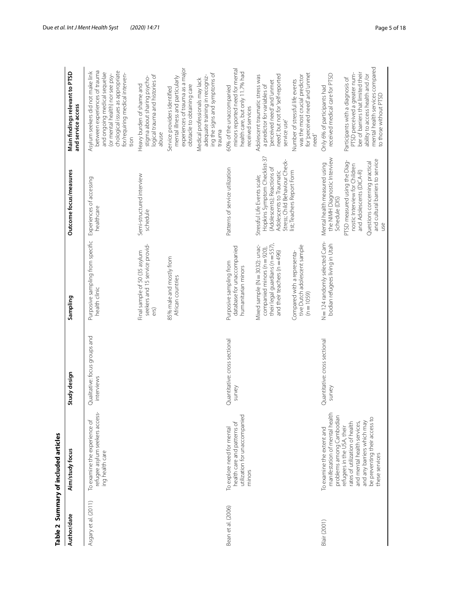|                      | Table 2 Summary of included articles                                                                 |                                             |                                                                                                                                       |                                                                                                                                                           |                                                                                                                                                                                                                     |
|----------------------|------------------------------------------------------------------------------------------------------|---------------------------------------------|---------------------------------------------------------------------------------------------------------------------------------------|-----------------------------------------------------------------------------------------------------------------------------------------------------------|---------------------------------------------------------------------------------------------------------------------------------------------------------------------------------------------------------------------|
| Author/date          | Aim/study focus                                                                                      | Study design                                | Sampling                                                                                                                              | Outcome focus/measures                                                                                                                                    | Main findings relevant to PTSD<br>and service access                                                                                                                                                                |
| Asgary et al. (2011) | refugee asylum seekers access-<br>To examine the experience of<br>ing health care                    | Qualitative: focus groups and<br>interviews | Purposive sampling from specific<br>health clinic                                                                                     | Experiences of accessing<br>healthcare                                                                                                                    | between experiences of trauma<br>chological issues as appropriate<br>Asylum seekers did not make link<br>and ongoing medical sequelae<br>for/requiring medical interven-<br>(or mental health) nor see psy-<br>tion |
|                      |                                                                                                      |                                             | seekers and 15 service provid-<br>Final sample of 50 (35 asylum<br>ers)                                                               | Semi-structured interview<br>schedule                                                                                                                     | logical trauma and histories of<br>stigma about sharing psycho-<br>Heavy burden of shame and<br>abuse                                                                                                               |
|                      |                                                                                                      |                                             | 85% male and mostly from<br>African countries                                                                                         |                                                                                                                                                           | experiences of trauma as a major<br>mental illness and particularly<br>obstacle to obtaining care<br>Service providers identified                                                                                   |
|                      |                                                                                                      |                                             |                                                                                                                                       |                                                                                                                                                           | ing the signs and symptoms of<br>adequate training in recogniz-<br>Medical professionals may lack<br>trauma                                                                                                         |
| Bean et al. (2006)   | utilization for unaccompanied<br>health care and patterns of<br>To explore need for mental<br>minors | Quantitative: cross sectional<br>survey     | database for unaccompanied<br>Purposive sampling from<br>humanitarian minors                                                          | Patterns of service utilization                                                                                                                           | minors reported need for mental<br>health care, but only 11.7% had<br>60% of the unaccompanied<br>received services                                                                                                 |
|                      |                                                                                                      |                                             | their legal guardians (n = 557),<br>Mixed sample (N = 3032): unac-<br>companied minors (n = 920),<br>and their teachers ( $n = 496$ ) | Hopkins Symptom Checklist-37<br>Stress; Child Behaviour Check-<br>(Adolescents); Reactions of<br>Adolescents to Traumatic<br>Stressful Life Events scale; | need', but not for 'self-reported<br>Adolescent traumatic stress was<br>perceived need'and'unmet<br>a predictor for variables of<br>service use'                                                                    |
|                      |                                                                                                      |                                             | tive Dutch adolescent sample<br>Compared with a representa-<br>$(n = 1059)$                                                           | ist; Teachers Report Form                                                                                                                                 | for 'perceived need' and 'unmet<br>was the most crucial predictor<br>Number of stressful life events<br>need'                                                                                                       |
| <b>Blair</b> (2001)  | manifestation of mental health<br>problems among Cambodian<br>To examine the extent and              | Quantitative: cross sectional<br>survey     | N=124 randomly selected Cam-<br>bodian refugees living in Utah                                                                        | the NIMH Diagnostic Interview<br>Mental health measured using<br>Schedule (DIS)                                                                           | received medical care for PTSD<br>Only 6% of participants had                                                                                                                                                       |
|                      | rates of utilization of health<br>and mental health services,<br>refugees in the USA, their          |                                             |                                                                                                                                       | PTSD measured using the Diag-<br>nostic Interview for Children<br>and Adolescents (DICA-R)                                                                | ber of barriers that limited their<br>PTSD perceived a greater num-<br>Participants with a diagnosis of                                                                                                             |
|                      | be preventing their access to<br>and any barriers which may<br>these services                        |                                             |                                                                                                                                       | and cultural barriers to service<br>Questions concerning practical<br>use                                                                                 | mental health services compared<br>ability to access health and /or<br>to those without PTSD                                                                                                                        |

<span id="page-4-0"></span>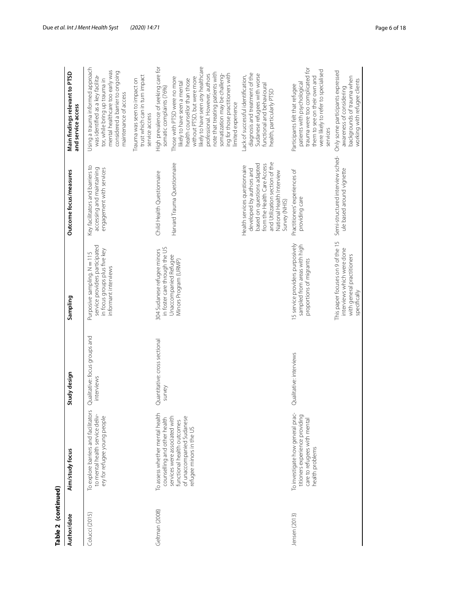| Table 2 (continued) |                                                                                                                       |                                             |                                                                                                                        |                                                                                                                                                                                                        |                                                                                                                                                                                                                                                                                                                                    |
|---------------------|-----------------------------------------------------------------------------------------------------------------------|---------------------------------------------|------------------------------------------------------------------------------------------------------------------------|--------------------------------------------------------------------------------------------------------------------------------------------------------------------------------------------------------|------------------------------------------------------------------------------------------------------------------------------------------------------------------------------------------------------------------------------------------------------------------------------------------------------------------------------------|
| Author/date         | Aim/study focus                                                                                                       | Study design                                | Sampling                                                                                                               | Outcome focus/measures                                                                                                                                                                                 | Main findings relevant to PTSD<br>and service access                                                                                                                                                                                                                                                                               |
| Colucci (2015)      | To explore barriers and facilitators<br>to mental health service deliv-<br>ery for refugee young people               | Qualitative: focus groups and<br>interviews | service providers participated<br>in focus groups plus five key<br>Purposive sampling. N = 115<br>informant interviews | Key facilitators and barriers to<br>accessing and maintaining<br>engagement with services                                                                                                              | Using a trauma informed approach<br>mental healthcare too early was<br>considered a barrier to ongoing<br>was identified as a key facilita-<br>tor, while bring up trauma in<br>maintenance of access                                                                                                                              |
|                     |                                                                                                                       |                                             |                                                                                                                        |                                                                                                                                                                                                        | trust which can in turn impact<br>Trauma was seen to impact on<br>service access                                                                                                                                                                                                                                                   |
| Geltman (2008)      | To assess whether mental health<br>counselling and other health                                                       | Quantitative: cross sectional<br>survey     | in foster care through the US<br>304 Sudanese refugee minors                                                           | Child Health Questionnaire                                                                                                                                                                             | High prevalence of seeking care for<br>somatic complaints (76%)                                                                                                                                                                                                                                                                    |
|                     | services were associated with<br>of unaccompanied Sudanese<br>functional health outcomes<br>refugee minors in the US  |                                             | Unaccompanied Refugee<br>Minors Program (URMP)                                                                         | Harvard Trauma Questionnaire                                                                                                                                                                           | likely to have seen any healthcare<br>note that treating patients with<br>professional. However, authors<br>somatization may be challeng-<br>ing for those practitioners with<br>without PTSD, but were more<br>Those with PTSD were no more<br>health counsellor than those<br>likely to have seen a mental<br>limited experience |
|                     |                                                                                                                       |                                             |                                                                                                                        | and Utilization section of the<br>based on questions adapted<br>from the Health Care Access<br>Health services questionnaire<br>developed by authors and<br>National Health Interview<br>Survey (NHIS) | diagnosis and treatment of the<br>Sudanese refugees with worse<br>Lack of successful identification,<br>functional and behavioural<br>health, particularly PTSD                                                                                                                                                                    |
| ensen (2013)        | To investigate how general prac-<br>titioners experience providing<br>care to refugees with mental<br>health problems | Qualitative: interviews                     | 15 service providers purposively<br>sampled from areas with high<br>proportions of migrants                            | Practitioners' experiences of<br>providing care                                                                                                                                                        | trauma were too complicated for<br>were likely to refer to specialised<br>them to see on their own and<br>patients with psychological<br>Participants felt that refugee<br>services                                                                                                                                                |
|                     |                                                                                                                       |                                             | This paper focuses on 9 of the 15<br>interviews which were done<br>with general practitioners<br>specifically          | Semi-structured interview sched-<br>ule based around vignette                                                                                                                                          | Only some participants expressed<br>backgrounds of trauma when<br>working with refugee clients<br>awareness of considering                                                                                                                                                                                                         |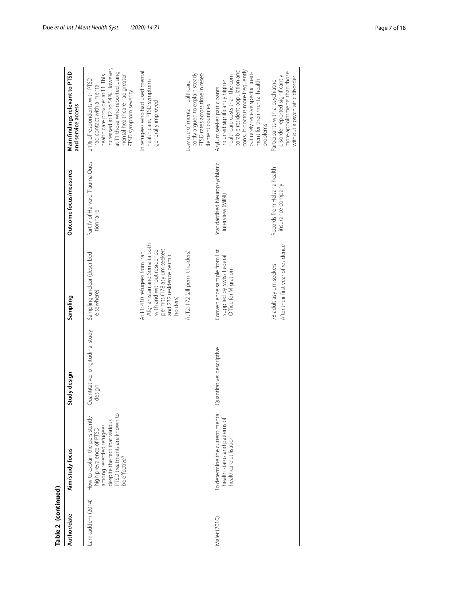| Table 2 (continued) |                                                                                                                                                                          |                                            |                                                                                                                                                                    |                                                   |                                                                                                                                                                                                                                                       |
|---------------------|--------------------------------------------------------------------------------------------------------------------------------------------------------------------------|--------------------------------------------|--------------------------------------------------------------------------------------------------------------------------------------------------------------------|---------------------------------------------------|-------------------------------------------------------------------------------------------------------------------------------------------------------------------------------------------------------------------------------------------------------|
| Author/date         | Aim/study focus                                                                                                                                                          | Study design                               | Sampling                                                                                                                                                           | Outcome focus/measures                            | Main findings relevant to PTSD<br>and service access                                                                                                                                                                                                  |
| Lamkaddem (2014)    | PTSD treatments are known to<br>How to explain the persistently<br>despite the fact that various<br>among resettled refugees<br>high prevalence of PTSD<br>be effective? | Quantitative: longitudinal study<br>design | Sampling unclear (described<br>elsewhere)                                                                                                                          | Part IV of Harvard Trauma Ques-<br>tionnaire      | increased at T2 to 54%. However,<br>at T1 those who reported using<br>health care provider at T1. This<br>mental healthcare had greater<br>21% of respondents with PTSD<br>had contact with a mental<br>PTSD symptom severity                         |
|                     |                                                                                                                                                                          |                                            | Afghanistan and Somalia both<br>permits (178 asylum seekers<br>with and without residence<br>At T1:410 refugees from Iran,<br>and 232 residence permit<br>holders) |                                                   | In refugees who had used mental<br>health care, PTSD symptoms<br>generally improved                                                                                                                                                                   |
|                     |                                                                                                                                                                          |                                            | At T2: 172 (all permit holders)                                                                                                                                    |                                                   | partly argued to explain steady<br>PTSD rates across time in reset-<br>Low use of mental healthcare<br>tlement countries                                                                                                                              |
| Maier (2010)        | To determine the current mental<br>health status and patterns of<br>healthcare utilisation                                                                               | Quantitative: descriptive                  | Convenience sample from list<br>supplied by Swiss Federal<br>Office for Migration                                                                                  | Standardised Neuropsychiatric<br>interview (MINI) | consult doctors more frequently<br>parable resident population and<br>but rarely receive specific treat-<br>healthcare costs than the com-<br>ment for their mental health<br>incurred significantly higher<br>Asylum seeker participants<br>problems |
|                     |                                                                                                                                                                          |                                            | After their first year of residence<br>78 adult asylum seekers                                                                                                     | Records from Helsana health<br>insurance company  | more appointments than those<br>disorder reported significantly<br>without a psychiatric disorder<br>Participants with a psychiatric                                                                                                                  |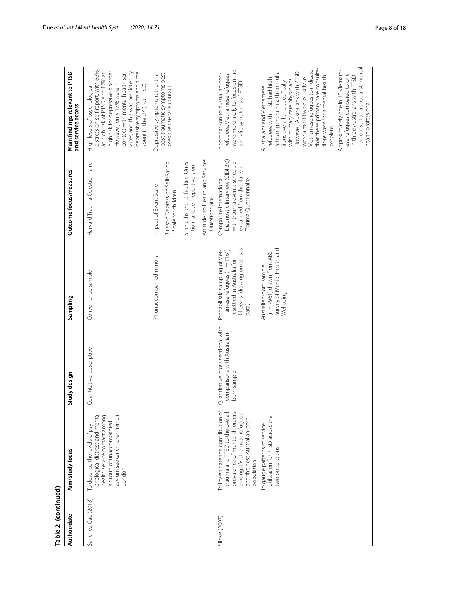| Table 2 (continued) |                                                                                                                                                                                     |                                                                                   |                                                                                                                                     |                                                                                                                                                |                                                                                                                                                                                                                                                                                                                                                                                                                                                                                                       |
|---------------------|-------------------------------------------------------------------------------------------------------------------------------------------------------------------------------------|-----------------------------------------------------------------------------------|-------------------------------------------------------------------------------------------------------------------------------------|------------------------------------------------------------------------------------------------------------------------------------------------|-------------------------------------------------------------------------------------------------------------------------------------------------------------------------------------------------------------------------------------------------------------------------------------------------------------------------------------------------------------------------------------------------------------------------------------------------------------------------------------------------------|
| Author/date         | Aim/study focus                                                                                                                                                                     | Study design                                                                      | Sampling                                                                                                                            | Outcome focus/measures                                                                                                                         | Main findings relevant to PTSD<br>and service access                                                                                                                                                                                                                                                                                                                                                                                                                                                  |
| Sanchez-Cao (2013)  | asylum seeker children living in<br>chological distress and mental<br>health service contact among<br>a group of unaccompanied<br>To describe the levels of psy-<br>London          | Quantitative: descriptive                                                         | Convenience sample                                                                                                                  | Harvard Trauma Questionnaire                                                                                                                   | distress on self-report, with 66%<br>high risk for depressive disorder.<br>contact with mental health ser-<br>vices, and this was predicted by<br>depressive symptoms and time<br>at high risk of PTSD and 12% at<br>However, only 17% were in<br>spent in the UK (not PTSD)<br>High levels of psychological                                                                                                                                                                                          |
|                     |                                                                                                                                                                                     |                                                                                   | 71 unaccompanied minors                                                                                                             | Birleson Depression Self-Rating<br>Impact of Event Scale<br>Scale for children                                                                 | Depressive symptoms rather than<br>post-traumatic symptoms best<br>predicted service contact                                                                                                                                                                                                                                                                                                                                                                                                          |
|                     |                                                                                                                                                                                     |                                                                                   |                                                                                                                                     | Strengths and Difficulties Ques-<br>tionnaire self-report version                                                                              |                                                                                                                                                                                                                                                                                                                                                                                                                                                                                                       |
|                     |                                                                                                                                                                                     |                                                                                   |                                                                                                                                     | Attitudes to Health and Services<br>Questionnaire                                                                                              |                                                                                                                                                                                                                                                                                                                                                                                                                                                                                                       |
| Silove (2007)       | To investigate the contribution of<br>trauma and PTSD to the overall<br>prevalence of mental disorders<br>amongst Vietnamese refugees<br>and the host Australian-born<br>population | Quantitative: cross sectional with<br>comparisons with Australian-<br>born sample | I1 years (drawing on census<br>namese refugees (n = 1161)<br>Probabilistic sampling of Viet-<br>resettled in Australia for<br>data) | Diagnostic Interview (CIDI 2.0)<br>with trauma events schedule<br>expanded from the Harvard<br>Composite International<br>Trauma Questionnaire | were more likely to focus on the<br>In comparison to Australian non-<br>refugees, Vietnamese refugees<br>somatic symptoms of PTSD                                                                                                                                                                                                                                                                                                                                                                     |
|                     | utilization for PTSD across the<br>To gauge patterns of service<br>two populations                                                                                                  |                                                                                   | Survey of Mental Health and<br>$(n = 7961)$ drawn from ABS<br>Australian-born sample<br>Wellbeing                                   |                                                                                                                                                | had consulted a specialist mental<br>that these primary care consulta-<br>rates of general health consulta-<br>Vietnamese refugees to indicate<br>Approximately one in 10 Vietnam-<br>However, Australians with PTSD<br>ese refugees compared to one<br>in three Australians with PTSD<br>tions were for a mental health<br>were almost twice as likely as<br>refugees with PTSD had high<br>with primary care physicians.<br>tions overall and specifically<br>Australians and Vietnamese<br>problem |
|                     |                                                                                                                                                                                     |                                                                                   |                                                                                                                                     |                                                                                                                                                | health professional                                                                                                                                                                                                                                                                                                                                                                                                                                                                                   |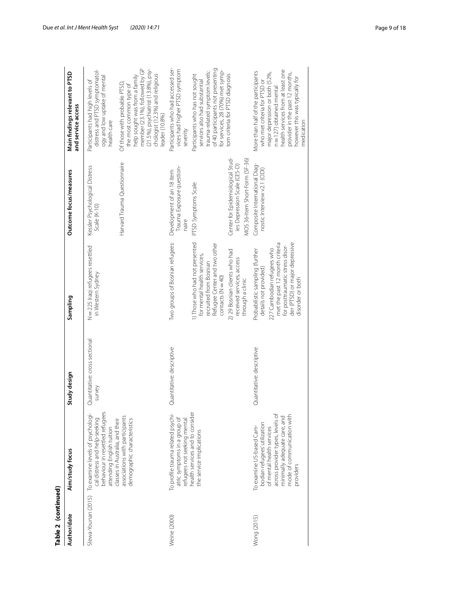| Table 2 (continued) |                                                                                                                                                                                                      |                                         |                                                                                                                                                                                                                   |                                                                                                    |                                                                                                                                                                                                                                                        |
|---------------------|------------------------------------------------------------------------------------------------------------------------------------------------------------------------------------------------------|-----------------------------------------|-------------------------------------------------------------------------------------------------------------------------------------------------------------------------------------------------------------------|----------------------------------------------------------------------------------------------------|--------------------------------------------------------------------------------------------------------------------------------------------------------------------------------------------------------------------------------------------------------|
| Author/date         | Aim/study focus                                                                                                                                                                                      | Study design                            | Sampling                                                                                                                                                                                                          | Outcome focus/measures                                                                             | Main findings relevant to PTSD<br>and service access                                                                                                                                                                                                   |
| Slewa-Younan (2015) | behaviour in resettled refugees<br>To examine levels of psychologi-<br>cal distress and help-seeking<br>attending English tuition                                                                    | Quantitative: cross sectional<br>survey | N = 225 Iraqi refugees resettled<br>in Western Sydney                                                                                                                                                             | Kessler Psychological Distress<br>Scale (K-10)                                                     | distress and PTSD symptomatol-<br>ogy and low uptake of mental<br>Participants had high levels of<br>health care                                                                                                                                       |
|                     | associations with participants<br>demographic characteristics<br>classes in Australia, and their                                                                                                     |                                         |                                                                                                                                                                                                                   | Harvard Trauma Questionnaire                                                                       | member (23.1%), followed by GP<br>(21.5%), psychiatrist (13.8%), psy-<br>chologist (12.3%) and religious<br>help sought was from a family<br>Of those with probable PTSD,<br>the most common type of<br>leader (10.8%)                                 |
| Weine (2000)        | To profile trauma related psychi-<br>atric symptoms in a group of<br>refugees not seeking mental                                                                                                     | Quantitative: descriptive               | Two groups of Bosnian refugees:                                                                                                                                                                                   | Trauma Exposure question-<br>Development of an 18 item<br>naire                                    | Participants who had accessed ser-<br>vices had higher PTSD symptom<br>severity                                                                                                                                                                        |
|                     | health services and to consider<br>the service implications                                                                                                                                          |                                         | 1) Those who had not presented<br>Refugee Center and two other<br>for mental health services,<br>recruited from Bosnian<br>contacts ( $N = 40$ )                                                                  | PTSD Symptoms Scale                                                                                | of 40 participants not presenting<br>for services, 28 (70%) met symp-<br>trauma-related symptom levels:<br>Participants who has not sought<br>services also had substantial                                                                            |
|                     |                                                                                                                                                                                                      |                                         | 2) 29 Bosnian clients who had<br>received services, access<br>through a clinic                                                                                                                                    | Center for Epidemiological Stud-<br>MOS 36-ltem Short-Form (SF-36)<br>ies Depression Scale (CES-D) | tom criteria for PTSD diagnosis                                                                                                                                                                                                                        |
| Wong (2015)         | across provider types, levels of<br>mode of communication with<br>minimally adequate care, and<br>bodian refugees' utilization<br>To examine US-based Cam-<br>of mental health services<br>providers | Quantitative: descriptive               | met the past 12 month criteria<br>der (PTSD) or major depressive<br>for posttraumatic stress disor-<br>227 Cambodian refugees who<br>Probabilistic sampling (further<br>details not provided)<br>disorder or both | Composite International Diag-<br>nostic Interview v2.1 (CIDI)                                      | health services from at least one<br>More than half of the participants<br>provider in the past 12 months,<br>major depression or both (52%,<br>however this was typically for<br>who met criteria for PTSD or<br>n=127) obtained mental<br>medication |
|                     |                                                                                                                                                                                                      |                                         |                                                                                                                                                                                                                   |                                                                                                    |                                                                                                                                                                                                                                                        |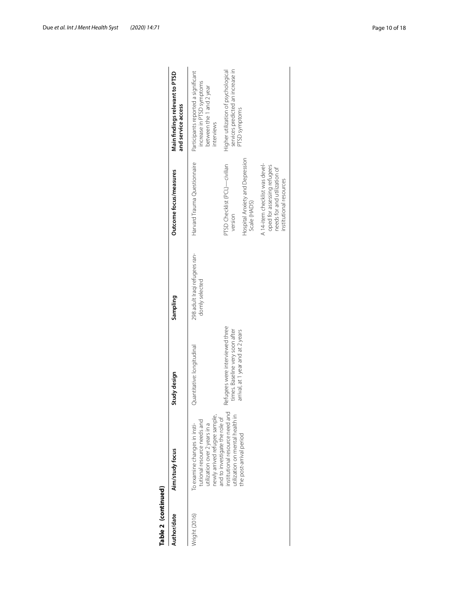| Table 2 (continued) |                                                                                                                              |                                                                    |                                                 |                                                                                                                          |                                                                                                            |
|---------------------|------------------------------------------------------------------------------------------------------------------------------|--------------------------------------------------------------------|-------------------------------------------------|--------------------------------------------------------------------------------------------------------------------------|------------------------------------------------------------------------------------------------------------|
| Author/date         | Aim/study focus                                                                                                              | Study design                                                       | Sampling                                        | Outcome focus/measures                                                                                                   | Main findings relevant to PTSD<br>and service access                                                       |
| Wright (2016)       | newly arrived refugee sample,<br>utional resource needs and<br>To examine changes in insti-<br>Itilization over 2 years in a | Quantitative: longitudinal                                         | 298 adult Iraqi refugees ran-<br>domly selected | Harvard Trauma Questionnaire                                                                                             | Participants reported a significant<br>increase in PTSD symptoms<br>between the 1 and 2 year<br>interviews |
|                     | institutional resource need and<br>ttilization on mental health in<br>and to investigate the role of                         | Refugees were interviewed three<br>times. Baseline very soon after |                                                 | PTSD Checklist (PCL)-civilian<br>version                                                                                 | services predicted an increase in<br>Higher utilization of psychological                                   |
|                     | the post-arrival period                                                                                                      | arrival, at 1 year and at 2 years                                  |                                                 | Hospital Anxiety and Depression<br>Scale (HADS)                                                                          | PTSD symptoms                                                                                              |
|                     |                                                                                                                              |                                                                    |                                                 | A 14-item checklist was devel-<br>oped for assessing refugees<br>needs for and utilization of<br>institutional resources |                                                                                                            |
|                     |                                                                                                                              |                                                                    |                                                 |                                                                                                                          |                                                                                                            |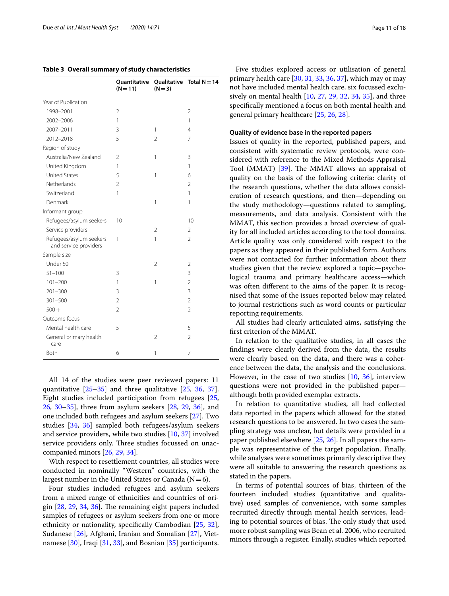<span id="page-10-0"></span>

|  |  |  |  | Table 3 Overall summary of study characteristics |
|--|--|--|--|--------------------------------------------------|
|--|--|--|--|--------------------------------------------------|

|                                                  | Quantitative<br>$(N = 11)$ | $(N = 3)$      | Qualitative Total $N = 14$ |
|--------------------------------------------------|----------------------------|----------------|----------------------------|
| Year of Publication                              |                            |                |                            |
| 1998-2001                                        | $\overline{2}$             |                | $\overline{2}$             |
| 2002-2006                                        | 1                          |                | 1                          |
| 2007-2011                                        | 3                          | 1              | $\overline{4}$             |
| 2012-2018                                        | 5                          | $\mathcal{P}$  | 7                          |
| Region of study                                  |                            |                |                            |
| Australia/New Zealand                            | $\overline{2}$             | $\mathbf{1}$   | 3                          |
| United Kingdom                                   | 1                          |                | 1                          |
| <b>United States</b>                             | 5                          | $\mathbf{1}$   | 6                          |
| Netherlands                                      | $\overline{2}$             |                | $\overline{2}$             |
| Switzerland                                      | 1                          |                | 1                          |
| Denmark                                          |                            | 1              | 1                          |
| Informant group                                  |                            |                |                            |
| Refugees/asylum seekers                          | 10                         |                | 10                         |
| Service providers                                |                            | $\overline{2}$ | 2                          |
| Refugees/asylum seekers<br>and service providers | 1                          | 1              | $\mathfrak{D}$             |
| Sample size                                      |                            |                |                            |
| Under 50                                         |                            | $\overline{2}$ | $\overline{2}$             |
| $51 - 100$                                       | 3                          |                | 3                          |
| $101 - 200$                                      | 1                          | 1              | $\mathfrak{D}$             |
| $201 - 300$                                      | 3                          |                | 3                          |
| $301 - 500$                                      | $\overline{2}$             |                | $\overline{2}$             |
| $500 +$                                          | $\overline{2}$             |                | $\overline{2}$             |
| Outcome focus                                    |                            |                |                            |
| Mental health care                               | 5                          |                | 5                          |
| General primary health<br>care                   |                            | $\mathfrak{D}$ | $\mathfrak{D}$             |
| Both                                             | 6                          | 1              | $\overline{7}$             |

All 14 of the studies were peer reviewed papers: 11 quantitative [\[25](#page-17-12)–[35\]](#page-17-13) and three qualitative [\[25](#page-17-12), [36,](#page-17-14) [37](#page-17-15)]. Eight studies included participation from refugees [\[25](#page-17-12), [26,](#page-17-16) [30](#page-17-17)[–35](#page-17-13)], three from asylum seekers [\[28,](#page-17-18) [29,](#page-17-19) [36](#page-17-14)], and one included both refugees and asylum seekers [[27\]](#page-17-20). Two studies [\[34,](#page-17-21) [36](#page-17-14)] sampled both refugees/asylum seekers and service providers, while two studies [[10,](#page-17-22) [37](#page-17-15)] involved service providers only. Three studies focussed on unaccompanied minors [[26,](#page-17-16) [29](#page-17-19), [34](#page-17-21)].

With respect to resettlement countries, all studies were conducted in nominally "Western" countries, with the largest number in the United States or Canada ( $N=6$ ).

Four studies included refugees and asylum seekers from a mixed range of ethnicities and countries of origin  $[28, 29, 34, 36]$  $[28, 29, 34, 36]$  $[28, 29, 34, 36]$  $[28, 29, 34, 36]$  $[28, 29, 34, 36]$  $[28, 29, 34, 36]$  $[28, 29, 34, 36]$  $[28, 29, 34, 36]$  $[28, 29, 34, 36]$ . The remaining eight papers included samples of refugees or asylum seekers from one or more ethnicity or nationality, specifcally Cambodian [[25,](#page-17-12) [32](#page-17-23)], Sudanese [\[26](#page-17-16)], Afghani, Iranian and Somalian [\[27](#page-17-20)], Vietnamese [\[30](#page-17-17)], Iraqi [[31](#page-17-24), [33\]](#page-17-25), and Bosnian [[35\]](#page-17-13) participants.

Five studies explored access or utilisation of general primary health care  $[30, 31, 33, 36, 37]$  $[30, 31, 33, 36, 37]$  $[30, 31, 33, 36, 37]$  $[30, 31, 33, 36, 37]$  $[30, 31, 33, 36, 37]$  $[30, 31, 33, 36, 37]$  $[30, 31, 33, 36, 37]$ , which may or may not have included mental health care, six focussed exclusively on mental health [\[10](#page-17-22), [27](#page-17-20), [29](#page-17-19), [32](#page-17-23), [34,](#page-17-21) [35\]](#page-17-13), and three specifcally mentioned a focus on both mental health and general primary healthcare [\[25](#page-17-12), [26,](#page-17-16) [28\]](#page-17-18).

#### **Quality of evidence base in the reported papers**

Issues of quality in the reported, published papers, and consistent with systematic review protocols, were considered with reference to the Mixed Methods Appraisal Tool (MMAT) [\[39](#page-17-26)]. The MMAT allows an appraisal of quality on the basis of the following criteria: clarity of the research questions, whether the data allows consideration of research questions, and then—depending on the study methodology—questions related to sampling, measurements, and data analysis. Consistent with the MMAT, this section provides a broad overview of quality for all included articles according to the tool domains. Article quality was only considered with respect to the papers as they appeared in their published form. Authors were not contacted for further information about their studies given that the review explored a topic—psychological trauma and primary healthcare access—which was often diferent to the aims of the paper. It is recognised that some of the issues reported below may related to journal restrictions such as word counts or particular reporting requirements.

All studies had clearly articulated aims, satisfying the frst criterion of the MMAT.

In relation to the qualitative studies, in all cases the fndings were clearly derived from the data, the results were clearly based on the data, and there was a coherence between the data, the analysis and the conclusions. However, in the case of two studies  $[10, 36]$  $[10, 36]$  $[10, 36]$  $[10, 36]$ , interview questions were not provided in the published paper although both provided exemplar extracts.

In relation to quantitative studies, all had collected data reported in the papers which allowed for the stated research questions to be answered. In two cases the sampling strategy was unclear, but details were provided in a paper published elsewhere [[25](#page-17-12), [26\]](#page-17-16). In all papers the sample was representative of the target population. Finally, while analyses were sometimes primarily descriptive they were all suitable to answering the research questions as stated in the papers.

In terms of potential sources of bias, thirteen of the fourteen included studies (quantitative and qualitative) used samples of convenience, with some samples recruited directly through mental health services, leading to potential sources of bias. The only study that used more robust sampling was Bean et al. 2006, who recruited minors through a register. Finally, studies which reported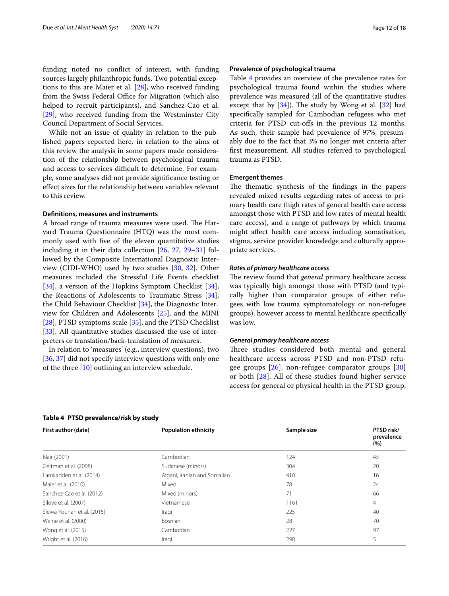funding noted no confict of interest, with funding sources largely philanthropic funds. Two potential exceptions to this are Maier et al. [[28](#page-17-18)], who received funding from the Swiss Federal Office for Migration (which also helped to recruit participants), and Sanchez-Cao et al. [[29\]](#page-17-19), who received funding from the Westminster City Council Department of Social Services.

While not an issue of quality in relation to the published papers reported here, in relation to the aims of this review the analysis in some papers made consideration of the relationship between psychological trauma and access to services difficult to determine. For example, some analyses did not provide signifcance testing or efect sizes for the relationship between variables relevant to this review.

#### **Defnitions, measures and instruments**

A broad range of trauma measures were used. The Harvard Trauma Questionnaire (HTQ) was the most commonly used with fve of the eleven quantitative studies including it in their data collection [\[26,](#page-17-16) [27,](#page-17-20) [29–](#page-17-19)[31](#page-17-24)] followed by the Composite International Diagnostic Interview (CIDI-WHO) used by two studies  $[30, 32]$  $[30, 32]$  $[30, 32]$  $[30, 32]$ . Other measures included the Stressful Life Events checklist [[34\]](#page-17-21), a version of the Hopkins Symptom Checklist [\[34](#page-17-21)], the Reactions of Adolescents to Traumatic Stress [\[34](#page-17-21)], the Child Behaviour Checklist [[34\]](#page-17-21), the Diagnostic Interview for Children and Adolescents [[25](#page-17-12)], and the MINI [[28\]](#page-17-18), PTSD symptoms scale [[35](#page-17-13)], and the PTSD Checklist [[33\]](#page-17-25). All quantitative studies discussed the use of interpreters or translation/back-translation of measures.

In relation to 'measures' (e.g., interview questions), two [[36,](#page-17-14) [37](#page-17-15)] did not specify interview questions with only one of the three [\[10](#page-17-22)] outlining an interview schedule.

#### **Prevalence of psychological trauma**

Table [4](#page-11-0) provides an overview of the prevalence rates for psychological trauma found within the studies where prevalence was measured (all of the quantitative studies except that by  $[34]$ . The study by Wong et al.  $[32]$  $[32]$  had specifcally sampled for Cambodian refugees who met criteria for PTSD cut-ofs in the previous 12 months. As such, their sample had prevalence of 97%, presumably due to the fact that 3% no longer met criteria after frst measurement. All studies referred to psychological trauma as PTSD.

#### **Emergent themes**

The thematic synthesis of the findings in the papers revealed mixed results regarding rates of access to primary health care (high rates of general health care access amongst those with PTSD and low rates of mental health care access), and a range of pathways by which trauma might afect health care access including somatisation, stigma, service provider knowledge and culturally appropriate services.

#### *Rates of primary healthcare access*

The review found that *general* primary healthcare access was typically high amongst those with PTSD (and typically higher than comparator groups of either refugees with low trauma symptomatology or non-refugee groups), however access to mental healthcare specifcally was low.

#### *General primary healthcare access*

Three studies considered both mental and general healthcare access across PTSD and non-PTSD refugee groups [[26\]](#page-17-16), non-refugee comparator groups [\[30](#page-17-17)] or both [[28](#page-17-18)]. All of these studies found higher service access for general or physical health in the PTSD group,

#### <span id="page-11-0"></span>**Table 4 PTSD prevalence/risk by study**

| First author (date)        | <b>Population ethnicity</b>  | Sample size | PTSD risk/            |
|----------------------------|------------------------------|-------------|-----------------------|
|                            |                              |             | prevalence<br>$(\% )$ |
| Blair (2001)               | Cambodian                    | 124         | 45                    |
| Geltman et al. (2008)      | Sudanese (minors)            | 304         | 20                    |
| Lamkadden et al. (2014)    | Afgani, Iranian and Somalian | 410         | 16                    |
| Maier et al. (2010)        | Mixed                        | 78          | 24                    |
| Sanchez-Cao et al. (2012)  | Mixed (minors)               | 71          | 66                    |
| Silove et al. (2007)       | Vietnamese                   | 1161        | $\overline{4}$        |
| Slewa-Younan et al. (2015) | Iraqi                        | 225         | 40                    |
| Weine et al. (2000)        | Bosnian                      | 28          | 70                    |
| Wong et al. (2015)         | Cambodian                    | 227         | 97                    |
| Wright et al. (2016)       | Iragi                        | 298         | 5                     |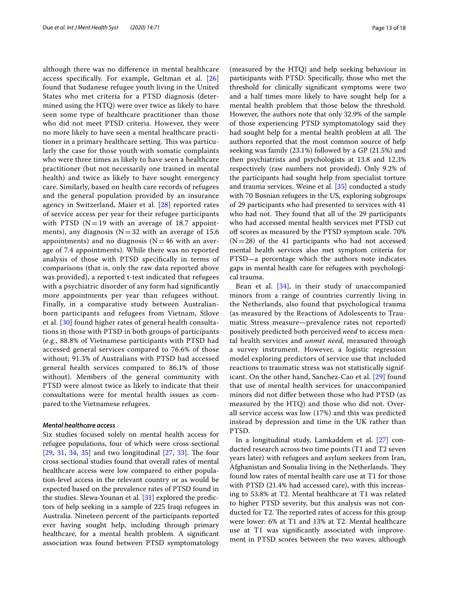although there was no diference in mental healthcare access specifcally. For example, Geltman et al. [\[26](#page-17-16)] found that Sudanese refugee youth living in the United States who met criteria for a PTSD diagnosis (determined using the HTQ) were over twice as likely to have seen some type of healthcare practitioner than those who did not meet PTSD criteria. However, they were no more likely to have seen a mental healthcare practitioner in a primary healthcare setting. This was particularly the case for those youth with somatic complaints who were three times as likely to have seen a healthcare practitioner (but not necessarily one trained in mental health) and twice as likely to have sought emergency care. Similarly, based on health care records of refugees and the general population provided by an insurance agency in Switzerland, Maier et al. [\[28](#page-17-18)] reported rates of service access per year for their refugee participants with PTSD ( $N=19$  with an average of 18.7 appointments), any diagnosis ( $N=32$  with an average of 15.6 appointments) and no diagnosis ( $N=46$  with an average of 7.4 appointments). While there was no reported analysis of those with PTSD specifcally in terms of comparisons (that is, only the raw data reported above was provided), a reported t-test indicated that refugees with a psychiatric disorder of any form had signifcantly more appointments per year than refugees without. Finally, in a comparative study between Australianborn participants and refugees from Vietnam, Silove et al. [[30\]](#page-17-17) found higher rates of general health consultations in those with PTSD in both groups of participants (e.g., 88.8% of Vietnamese participants with PTSD had accessed general services compared to 76.6% of those without; 91.3% of Australians with PTSD had accessed general health services compared to 86.1% of those without). Members of the general community with PTSD were almost twice as likely to indicate that their consultations were for mental health issues as compared to the Vietnamese refugees.

#### *Mental healthcare access*

Six studies focused solely on mental health access for refugee populations, four of which were cross sectional  $[29, 31, 34, 35]$  $[29, 31, 34, 35]$  $[29, 31, 34, 35]$  $[29, 31, 34, 35]$  $[29, 31, 34, 35]$  $[29, 31, 34, 35]$  $[29, 31, 34, 35]$  $[29, 31, 34, 35]$  $[29, 31, 34, 35]$  and two longitudinal  $[27, 33]$  $[27, 33]$  $[27, 33]$ . The four cross sectional studies found that overall rates of mental healthcare access were low compared to either population-level access in the relevant country or as would be expected based on the prevalence rates of PTSD found in the studies. Slewa-Younan et al. [[31\]](#page-17-24) explored the predictors of help seeking in a sample of 225 Iraqi refugees in Australia. Nineteen percent of the participants reported ever having sought help, including through primary healthcare, for a mental health problem. A signifcant association was found between PTSD symptomatology

(measured by the HTQ) and help seeking behaviour in participants with PTSD. Specifcally, those who met the threshold for clinically signifcant symptoms were two and a half times more likely to have sought help for a mental health problem that those below the threshold. However, the authors note that only 32.9% of the sample of those experiencing PTSD symptomatology said they had sought help for a mental health problem at all. The authors reported that the most common source of help seeking was family (23.1%) followed by a GP (21.5%) and then psychiatrists and psychologists at 13.8 and 12.3% respectively (raw numbers not provided). Only 9.2% of the participants had sought help from specialist torture and trauma services. Weine et al. [\[35](#page-17-13)] conducted a study with 70 Bosnian refugees in the US, exploring subgroups of 29 participants who had presented to services with 41 who had not. They found that all of the 29 participants who had accessed mental health services met PTSD cut off scores as measured by the PTSD symptom scale. 70%  $(N=28)$  of the 41 participants who had not accessed mental health services also met symptom criteria for PTSD—a percentage which the authors note indicates gaps in mental health care for refugees with psychological trauma.

Bean et al. [\[34\]](#page-17-21), in their study of unaccompanied minors from a range of countries currently living in the Netherlands, also found that psychological trauma (as measured by the Reactions of Adolescents to Traumatic Stress measure—prevalence rates not reported) positively predicted both perceived *need* to access mental health services and *unmet need*, measured through a survey instrument. However, a logistic regression model exploring predictors of service use that included reactions to traumatic stress was not statistically significant. On the other hand, Sanchez-Cao et al. [[29](#page-17-19)] found that use of mental health services for unaccompanied minors did not difer between those who had PTSD (as measured by the HTQ) and those who did not. Overall service access was low (17%) and this was predicted instead by depression and time in the UK rather than PTSD.

In a longitudinal study, Lamkaddem et al. [\[27](#page-17-20)] conducted research across two time points (T1 and T2 seven years later) with refugees and asylum seekers from Iran, Afghanistan and Somalia living in the Netherlands. They found low rates of mental health care use at T1 for those with PTSD (21.4% had accessed care), with this increasing to 53.8% at T2. Mental healthcare at T1 was related to higher PTSD severity, but this analysis was not conducted for T2. The reported rates of access for this group were lower: 6% at T1 and 13% at T2. Mental healthcare use at T1 was signifcantly associated with improvement in PTSD scores between the two waves, although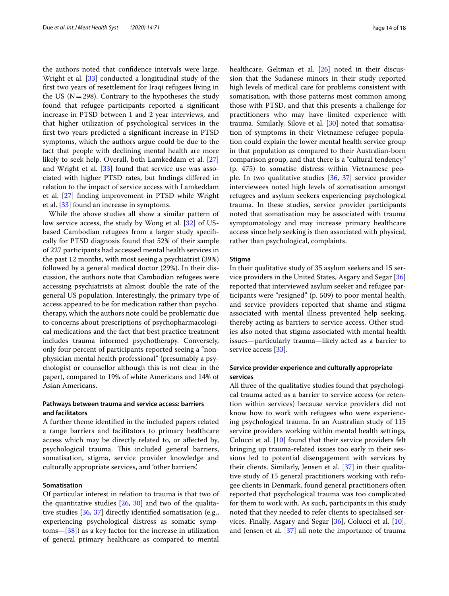the authors noted that confdence intervals were large. Wright et al. [[33](#page-17-25)] conducted a longitudinal study of the frst two years of resettlement for Iraqi refugees living in the US ( $N=298$ ). Contrary to the hypotheses the study found that refugee participants reported a signifcant increase in PTSD between 1 and 2 year interviews, and that higher utilization of psychological services in the frst two years predicted a signifcant increase in PTSD symptoms, which the authors argue could be due to the fact that people with declining mental health are more likely to seek help. Overall, both Lamkeddam et al. [[27](#page-17-20)] and Wright et al. [\[33](#page-17-25)] found that service use was associated with higher PTSD rates, but fndings difered in relation to the impact of service access with Lamkeddam et al. [\[27\]](#page-17-20) fnding improvement in PTSD while Wright et al. [[33](#page-17-25)] found an increase in symptoms.

While the above studies all show a similar pattern of low service access, the study by Wong et al. [[32\]](#page-17-23) of USbased Cambodian refugees from a larger study specifcally for PTSD diagnosis found that 52% of their sample of 227 participants had accessed mental health services in the past 12 months, with most seeing a psychiatrist (39%) followed by a general medical doctor (29%). In their discussion, the authors note that Cambodian refugees were accessing psychiatrists at almost double the rate of the general US population. Interestingly, the primary type of access appeared to be for medication rather than psychotherapy, which the authors note could be problematic due to concerns about prescriptions of psychopharmacological medications and the fact that best practice treatment includes trauma informed psychotherapy. Conversely, only four percent of participants reported seeing a "nonphysician mental health professional" (presumably a psychologist or counsellor although this is not clear in the paper), compared to 19% of white Americans and 14% of Asian Americans.

### **Pathways between trauma and service access: barriers and facilitators**

A further theme identifed in the included papers related a range barriers and facilitators to primary healthcare access which may be directly related to, or afected by, psychological trauma. This included general barriers, somatisation, stigma, service provider knowledge and culturally appropriate services, and 'other barriers'.

### **Somatisation**

Of particular interest in relation to trauma is that two of the quantitative studies  $[26, 30]$  $[26, 30]$  $[26, 30]$  $[26, 30]$  $[26, 30]$  and two of the qualitative studies [\[36](#page-17-14), [37](#page-17-15)] directly identifed somatisation (e.g., experiencing psychological distress as somatic symptoms—[\[38](#page-17-27)]) as a key factor for the increase in utilization of general primary healthcare as compared to mental healthcare. Geltman et al. [\[26](#page-17-16)] noted in their discussion that the Sudanese minors in their study reported high levels of medical care for problems consistent with somatisation, with those patterns most common among those with PTSD, and that this presents a challenge for practitioners who may have limited experience with trauma. Similarly, Silove et al. [\[30\]](#page-17-17) noted that somatisation of symptoms in their Vietnamese refugee population could explain the lower mental health service group in that population as compared to their Australian-born comparison group, and that there is a "cultural tendency" (p. 475) to somatise distress within Vietnamese people. In two qualitative studies [\[36,](#page-17-14) [37\]](#page-17-15) service provider interviewees noted high levels of somatisation amongst refugees and asylum seekers experiencing psychological trauma. In these studies, service provider participants noted that somatisation may be associated with trauma symptomatology and may increase primary healthcare access since help seeking is then associated with physical, rather than psychological, complaints.

#### **Stigma**

In their qualitative study of 35 asylum seekers and 15 service providers in the United States, Asgary and Segar [[36](#page-17-14)] reported that interviewed asylum seeker and refugee participants were "resigned" (p. 509) to poor mental health, and service providers reported that shame and stigma associated with mental illness prevented help seeking, thereby acting as barriers to service access. Other studies also noted that stigma associated with mental health issues—particularly trauma—likely acted as a barrier to service access [\[33](#page-17-25)].

### **Service provider experience and culturally appropriate services**

All three of the qualitative studies found that psychological trauma acted as a barrier to service access (or retention within services) because service providers did not know how to work with refugees who were experiencing psychological trauma. In an Australian study of 115 service providers working within mental health settings, Colucci et al. [[10\]](#page-17-22) found that their service providers felt bringing up trauma-related issues too early in their sessions led to potential disengagement with services by their clients. Similarly, Jensen et al. [\[37\]](#page-17-15) in their qualitative study of 15 general practitioners working with refugee clients in Denmark, found general practitioners often reported that psychological trauma was too complicated for them to work with. As such, participants in this study noted that they needed to refer clients to specialised services. Finally, Asgary and Segar [[36\]](#page-17-14), Colucci et al. [\[10](#page-17-22)], and Jensen et al. [\[37\]](#page-17-15) all note the importance of trauma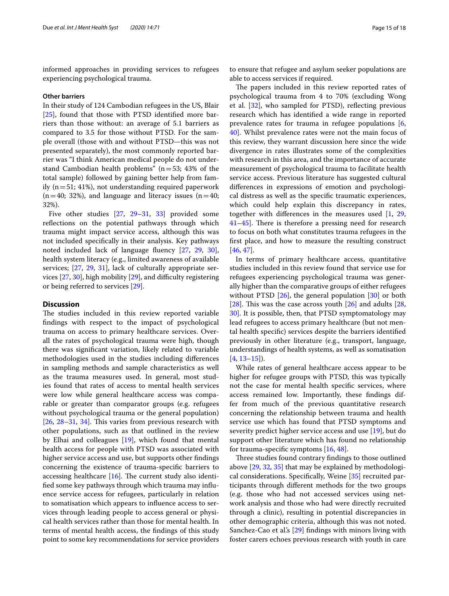informed approaches in providing services to refugees experiencing psychological trauma.

#### **Other barriers**

In their study of 124 Cambodian refugees in the US, Blair [[25\]](#page-17-12), found that those with PTSD identifed more barriers than those without: an average of 5.1 barriers as compared to 3.5 for those without PTSD. For the sample overall (those with and without PTSD—this was not presented separately), the most commonly reported barrier was "I think American medical people do not understand Cambodian health problems" ( $n=53$ ; 43% of the total sample) followed by gaining better help from family ( $n=51$ ; 41%), not understanding required paperwork  $(n=40; 32%)$ , and language and literacy issues  $(n=40;$ 32%).

Five other studies [[27,](#page-17-20) [29](#page-17-19)[–31](#page-17-24), [33](#page-17-25)] provided some refections on the potential pathways through which trauma might impact service access, although this was not included specifcally in their analysis. Key pathways noted included lack of language fuency [[27,](#page-17-20) [29,](#page-17-19) [30](#page-17-17)], health system literacy (e.g., limited awareness of available services; [\[27](#page-17-20), [29](#page-17-19), [31](#page-17-24)], lack of culturally appropriate services  $[27, 30]$  $[27, 30]$  $[27, 30]$ , high mobility  $[29]$  $[29]$  $[29]$ , and difficulty registering or being referred to services [\[29](#page-17-19)].

### **Discussion**

The studies included in this review reported variable fndings with respect to the impact of psychological trauma on access to primary healthcare services. Overall the rates of psychological trauma were high, though there was signifcant variation, likely related to variable methodologies used in the studies including diferences in sampling methods and sample characteristics as well as the trauma measures used. In general, most studies found that rates of access to mental health services were low while general healthcare access was comparable or greater than comparator groups (e.g. refugees without psychological trauma or the general population)  $[26, 28-31, 34]$  $[26, 28-31, 34]$  $[26, 28-31, 34]$  $[26, 28-31, 34]$  $[26, 28-31, 34]$  $[26, 28-31, 34]$  $[26, 28-31, 34]$  $[26, 28-31, 34]$  $[26, 28-31, 34]$ . This varies from previous research with other populations, such as that outlined in the review by Elhai and colleagues [[19](#page-17-6)], which found that mental health access for people with PTSD was associated with higher service access and use, but supports other fndings concerning the existence of trauma-specifc barriers to accessing healthcare  $[16]$  $[16]$ . The current study also identifed some key pathways through which trauma may infuence service access for refugees, particularly in relation to somatisation which appears to infuence access to services through leading people to access general or physical health services rather than those for mental health. In terms of mental health access, the fndings of this study point to some key recommendations for service providers to ensure that refugee and asylum seeker populations are able to access services if required.

The papers included in this review reported rates of psychological trauma from 4 to 70% (excluding Wong et al. [[32\]](#page-17-23), who sampled for PTSD), reflecting previous research which has identifed a wide range in reported prevalence rates for trauma in refugee populations [\[6](#page-16-5), [40\]](#page-17-28). Whilst prevalence rates were not the main focus of this review, they warrant discussion here since the wide divergence in rates illustrates some of the complexities with research in this area, and the importance of accurate measurement of psychological trauma to facilitate health service access. Previous literature has suggested cultural diferences in expressions of emotion and psychological distress as well as the specifc traumatic experiences, which could help explain this discrepancy in rates, together with diferences in the measures used [[1,](#page-16-0) [29](#page-17-19), [41](#page-17-29)[–45](#page-17-30)]. There is therefore a pressing need for research to focus on both what constitutes trauma refugees in the frst place, and how to measure the resulting construct [[46,](#page-17-31) [47](#page-17-32)].

In terms of primary healthcare access, quantitative studies included in this review found that service use for refugees experiencing psychological trauma was generally higher than the comparative groups of either refugees without PTSD [\[26\]](#page-17-16), the general population [[30\]](#page-17-17) or both [ $28$ ]. This was the case across youth [ $26$ ] and adults [ $28$ , [30\]](#page-17-17). It is possible, then, that PTSD symptomatology may lead refugees to access primary healthcare (but not mental health specifc) services despite the barriers identifed previously in other literature (e.g., transport, language, understandings of health systems, as well as somatisation  $[4, 13-15]$  $[4, 13-15]$  $[4, 13-15]$  $[4, 13-15]$ .

While rates of general healthcare access appear to be higher for refugee groups with PTSD, this was typically not the case for mental health specifc services, where access remained low. Importantly, these fndings differ from much of the previous quantitative research concerning the relationship between trauma and health service use which has found that PTSD symptoms and severity predict higher service access and use [\[19](#page-17-6)], but do support other literature which has found no relationship for trauma-specifc symptoms [[16,](#page-17-4) [48\]](#page-17-33).

Three studies found contrary findings to those outlined above [\[29](#page-17-19), [32,](#page-17-23) [35\]](#page-17-13) that may be explained by methodological considerations. Specifcally, Weine [[35\]](#page-17-13) recruited participants through diferent methods for the two groups (e.g. those who had not accessed services using network analysis and those who had were directly recruited through a clinic), resulting in potential discrepancies in other demographic criteria, although this was not noted. Sanchez-Cao et al's [[29](#page-17-19)] findings with minors living with foster carers echoes previous research with youth in care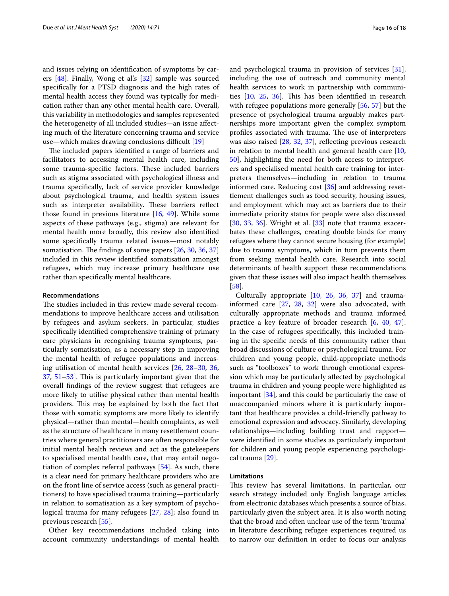and issues relying on identifcation of symptoms by car-ers [[48\]](#page-17-33). Finally, Wong et al's [[32\]](#page-17-23) sample was sourced specifcally for a PTSD diagnosis and the high rates of mental health access they found was typically for medication rather than any other mental health care. Overall, this variability in methodologies and samples represented the heterogeneity of all included studies—an issue afecting much of the literature concerning trauma and service use—which makes drawing conclusions difficult  $[19]$  $[19]$ 

The included papers identified a range of barriers and facilitators to accessing mental health care, including some trauma-specific factors. These included barriers such as stigma associated with psychological illness and trauma specifcally, lack of service provider knowledge about psychological trauma, and health system issues such as interpreter availability. These barriers reflect those found in previous literature [\[16](#page-17-4), [49](#page-17-34)]. While some aspects of these pathways (e.g., stigma) are relevant for mental health more broadly, this review also identifed some specifcally trauma related issues—most notably somatisation. The findings of some papers  $[26, 30, 36, 37]$  $[26, 30, 36, 37]$  $[26, 30, 36, 37]$  $[26, 30, 36, 37]$  $[26, 30, 36, 37]$  $[26, 30, 36, 37]$  $[26, 30, 36, 37]$  $[26, 30, 36, 37]$  $[26, 30, 36, 37]$ included in this review identifed somatisation amongst refugees, which may increase primary healthcare use rather than specifcally mental healthcare.

#### **Recommendations**

The studies included in this review made several recommendations to improve healthcare access and utilisation by refugees and asylum seekers. In particular, studies specifcally identifed comprehensive training of primary care physicians in recognising trauma symptoms, particularly somatisation, as a necessary step in improving the mental health of refugee populations and increasing utilisation of mental health services [[26,](#page-17-16) [28–](#page-17-18)[30](#page-17-17), [36](#page-17-14), [37,](#page-17-15) [51–](#page-17-35)[53\]](#page-17-36). This is particularly important given that the overall fndings of the review suggest that refugees are more likely to utilise physical rather than mental health providers. This may be explained by both the fact that those with somatic symptoms are more likely to identify physical—rather than mental—health complaints, as well as the structure of healthcare in many resettlement countries where general practitioners are often responsible for initial mental health reviews and act as the gatekeepers to specialised mental health care, that may entail negotiation of complex referral pathways [[54\]](#page-17-37). As such, there is a clear need for primary healthcare providers who are on the front line of service access (such as general practitioners) to have specialised trauma training—particularly in relation to somatisation as a key symptom of psychological trauma for many refugees [\[27](#page-17-20), [28\]](#page-17-18); also found in previous research [\[55](#page-17-38)].

Other key recommendations included taking into account community understandings of mental health and psychological trauma in provision of services [\[31](#page-17-24)], including the use of outreach and community mental health services to work in partnership with communities  $[10, 25, 36]$  $[10, 25, 36]$  $[10, 25, 36]$  $[10, 25, 36]$  $[10, 25, 36]$ . This has been identified in research with refugee populations more generally [[56,](#page-17-39) [57\]](#page-17-40) but the presence of psychological trauma arguably makes partnerships more important given the complex symptom profiles associated with trauma. The use of interpreters was also raised [\[28,](#page-17-18) [32](#page-17-23), [37\]](#page-17-15), reflecting previous research in relation to mental health and general health care [[10](#page-17-22), [50\]](#page-17-41), highlighting the need for both access to interpreters and specialised mental health care training for interpreters themselves—including in relation to trauma informed care. Reducing cost [[36\]](#page-17-14) and addressing resettlement challenges such as food security, housing issues, and employment which may act as barriers due to their immediate priority status for people were also discussed  $[30, 33, 36]$  $[30, 33, 36]$  $[30, 33, 36]$  $[30, 33, 36]$  $[30, 33, 36]$  $[30, 33, 36]$ . Wright et al.  $[33]$  note that trauma exacerbates these challenges, creating double binds for many refugees where they cannot secure housing (for example) due to trauma symptoms, which in turn prevents them from seeking mental health care. Research into social determinants of health support these recommendations given that these issues will also impact health themselves [[58\]](#page-17-42).

Culturally appropriate [[10,](#page-17-22) [26,](#page-17-16) [36](#page-17-14), [37\]](#page-17-15) and traumainformed care [\[27](#page-17-20), [28](#page-17-18), [32](#page-17-23)] were also advocated, with culturally appropriate methods and trauma informed practice a key feature of broader research [[6,](#page-16-5) [40](#page-17-28), [47](#page-17-32)]. In the case of refugees specifcally, this included training in the specifc needs of this community rather than broad discussions of culture or psychological trauma. For children and young people, child-appropriate methods such as "toolboxes" to work through emotional expression which may be particularly afected by psychological trauma in children and young people were highlighted as important [\[34](#page-17-21)], and this could be particularly the case of unaccompanied minors where it is particularly important that healthcare provides a child-friendly pathway to emotional expression and advocacy. Similarly, developing relationships—including building trust and rapport were identifed in some studies as particularly important for children and young people experiencing psychological trauma [\[29](#page-17-19)].

#### **Limitations**

This review has several limitations. In particular, our search strategy included only English language articles from electronic databases which presents a source of bias, particularly given the subject area. It is also worth noting that the broad and often unclear use of the term 'trauma' in literature describing refugee experiences required us to narrow our defnition in order to focus our analysis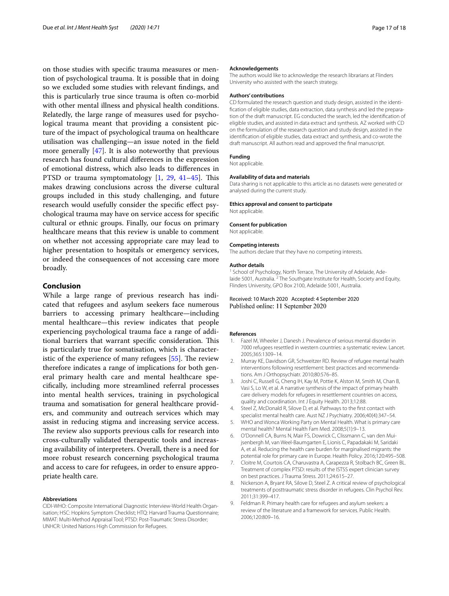on those studies with specifc trauma measures or mention of psychological trauma. It is possible that in doing so we excluded some studies with relevant fndings, and this is particularly true since trauma is often co-morbid with other mental illness and physical health conditions. Relatedly, the large range of measures used for psychological trauma meant that providing a consistent picture of the impact of psychological trauma on healthcare utilisation was challenging—an issue noted in the feld more generally [[47](#page-17-32)]. It is also noteworthy that previous research has found cultural diferences in the expression of emotional distress, which also leads to diferences in PTSD or trauma symptomatology  $[1, 29, 41-45]$  $[1, 29, 41-45]$  $[1, 29, 41-45]$  $[1, 29, 41-45]$  $[1, 29, 41-45]$  $[1, 29, 41-45]$ . This makes drawing conclusions across the diverse cultural groups included in this study challenging, and future research would usefully consider the specifc efect psychological trauma may have on service access for specifc cultural or ethnic groups. Finally, our focus on primary healthcare means that this review is unable to comment on whether not accessing appropriate care may lead to higher presentation to hospitals or emergency services, or indeed the consequences of not accessing care more broadly.

### **Conclusion**

While a large range of previous research has indicated that refugees and asylum seekers face numerous barriers to accessing primary healthcare—including mental healthcare—this review indicates that people experiencing psychological trauma face a range of additional barriers that warrant specific consideration. This is particularly true for somatisation, which is characteristic of the experience of many refugees  $[55]$  $[55]$ . The review therefore indicates a range of implications for both general primary health care and mental healthcare specifcally, including more streamlined referral processes into mental health services, training in psychological trauma and somatisation for general healthcare providers, and community and outreach services which may assist in reducing stigma and increasing service access. The review also supports previous calls for research into cross-culturally validated therapeutic tools and increasing availability of interpreters. Overall, there is a need for more robust research concerning psychological trauma and access to care for refugees, in order to ensure appropriate health care.

#### **Abbreviations**

CIDI-WHO: Composite International Diagnostic Interview-World Health Organisation; HSC: Hopkins Symptom Checklist; HTQ: Harvard Trauma Questionnaire; MMAT: Multi-Method Appraisal Tool; PTSD: Post-Traumatic Stress Disorder; UNHCR: United Nations High Commission for Refugees.

#### **Acknowledgements**

The authors would like to acknowledge the research librarians at Flinders University who assisted with the search strategy.

#### **Authors' contributions**

CD formulated the research question and study design, assisted in the identifcation of eligible studies, data extraction, data synthesis and led the preparation of the draft manuscript. EG conducted the search, led the identifcation of eligible studies, and assisted in data extract and synthesis. AZ worked with CD on the formulation of the research question and study design, assisted in the identifcation of eligible studies, data extract and synthesis, and co-wrote the draft manuscript. All authors read and approved the fnal manuscript.

#### **Funding**

Not applicable.

#### **Availability of data and materials**

Data sharing is not applicable to this article as no datasets were generated or analysed during the current study.

#### **Ethics approval and consent to participate**

Not applicable.

#### **Consent for publication**

Not applicable.

#### **Competing interests**

The authors declare that they have no competing interests.

#### **Author details**

<sup>1</sup> School of Psychology, North Terrace, The University of Adelaide, Adelaide 5001, Australia. <sup>2</sup> The Southgate Institute for Health, Society and Equity, Flinders University, GPO Box 2100, Adelaide 5001, Australia.

#### Received: 10 March 2020 Accepted: 4 September 2020 Published online: 11 September 2020

#### **References**

- <span id="page-16-0"></span>1. Fazel M, Wheeler J, Danesh J. Prevalence of serious mental disorder in 7000 refugees resettled in western countries: a systematic review. Lancet. 2005;365:1309–14.
- <span id="page-16-1"></span>2. Murray KE, Davidson GR, Schweitzer RD. Review of refugee mental health interventions following resettlement: best practices and recommendations. Am J Orthopsychiatr. 2010;80:576–85.
- <span id="page-16-2"></span>3. Joshi C, Russell G, Cheng IH, Kay M, Pottie K, Alston M, Smith M, Chan B, Vasi S, Lo W, et al. A narrative synthesis of the impact of primary health care delivery models for refugees in resettlement countries on access, quality and coordination. Int J Equity Health. 2013;12:88.
- <span id="page-16-3"></span>4. Steel Z, McDonald R, Silove D, et al. Pathways to the frst contact with specialist mental health care. Aust NZ J Psychiatry. 2006;40(4):347–54.
- <span id="page-16-4"></span>5. WHO and Wonca Working Party on Mental Health. What is primary care mental health? Mental Health Fam Med. 2008;5(1):9–13.
- <span id="page-16-5"></span>6. O'Donnell CA, Burns N, Mair FS, Dowrick C, Clissmann C, van den Muijsenbergh M, van Weel-Baumgarten E, Lionis C, Papadakaki M, Saridaki A, et al. Reducing the health care burden for marginalised migrants: the potential role for primary care in Europe. Health Policy. 2016;120:495–508.
- 7. Cloitre M, Courtois CA, Charuvastra A, Carapezza R, Stolbach BC, Green BL. Treatment of complex PTSD: results of the ISTSS expert clinician survey on best practices. J Trauma Stress. 2011;24:615–27.
- <span id="page-16-6"></span>8. Nickerson A, Bryant RA, Silove D, Steel Z. A critical review of psychological treatments of posttraumatic stress disorder in refugees. Clin Psychol Rev. 2011;31:399–417.
- <span id="page-16-7"></span>9. Feldman R. Primary health care for refugees and asylum seekers: a review of the literature and a framework for services. Public Health. 2006;120:809–16.